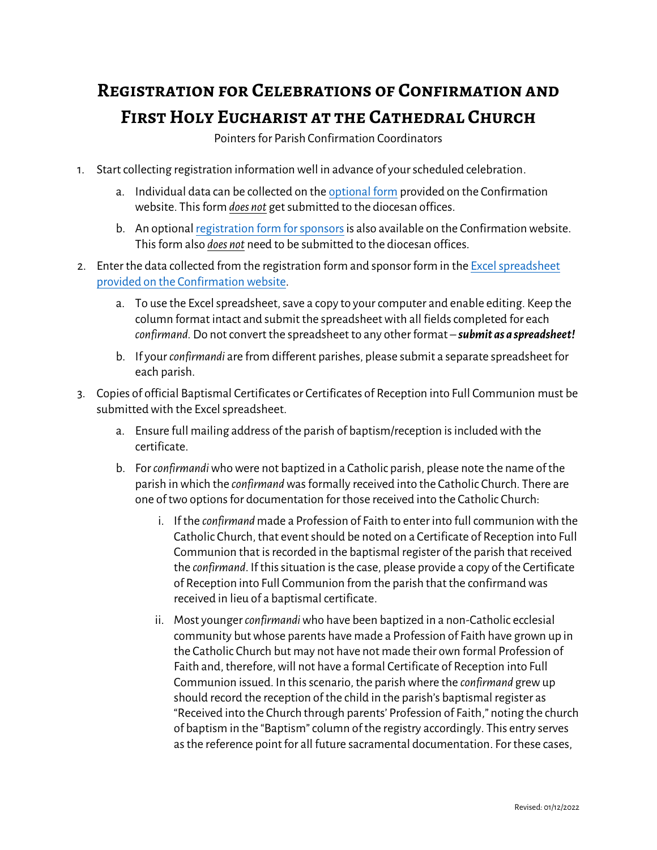## **Registration for Celebrations of Confirmation and First Holy Eucharist at the Cathedral Church**

Pointers for Parish Confirmation Coordinators

- 1. Start collecting registration information well in advance of your scheduled celebration.
	- a. Individual data can be collected on th[e optional form](https://www.dio.org/media/attachments/2021/12/02/registration-for-sacramental-records-1.pdf) provided on the Confirmation website. This form *does not* get submitted to the diocesan offices.
	- b. An optiona[l registration form for sponsorsi](https://www.dio.org/media/attachments/2021/11/29/confirmation-sponsor-eligibilty-form-1.pdf)s also available on the Confirmation website. This form also *does not* need to be submitted to the diocesan offices.
- 2. Enter the data collected from the registration form and sponsor form in the Excel spreadsheet [provided on the Confirmation](https://www.dio.org/media/attachments/2021/11/29/confirmation-at-cathedral-registration-data-form.xlsx) website.
	- a. To use the Excel spreadsheet, save a copy to your computer and enable editing. Keep the column format intact and submit the spreadsheet with all fields completed for each *confirmand.* Do not convert the spreadsheet to any other format – *submit as a spreadsheet!*
	- b. If your *confirmandi* are from different parishes, please submit a separate spreadsheet for each parish.
- 3. Copies of official Baptismal Certificates or Certificates of Reception into Full Communion must be submitted with the Excel spreadsheet.
	- a. Ensure full mailing address of the parish of baptism/reception is included with the certificate.
	- b. For *confirmandi* who were not baptized in a Catholic parish, please note the name of the parish in which the *confirmand* was formally received into the Catholic Church. There are one of two options for documentation for those received into the Catholic Church:
		- i. If the *confirmand* made a Profession of Faith to enter into full communion with the Catholic Church, that event should be noted on a Certificate of Reception into Full Communion that is recorded in the baptismal register of the parish that received the *confirmand*. If this situation is the case, please provide a copy of the Certificate of Reception into Full Communion from the parish that the confirmand was received in lieu of a baptismal certificate.
		- ii. Most younger *confirmandi*who have been baptized in a non-Catholic ecclesial community but whose parents have made a Profession of Faith have grown up in the Catholic Church but may not have not made their own formal Profession of Faith and, therefore, will not have a formal Certificate of Reception into Full Communion issued. In this scenario, the parish where the *confirmand* grew up should record the reception of the child in the parish's baptismal register as "Received into the Church through parents' Profession of Faith," noting the church of baptism in the "Baptism" column of the registry accordingly. This entry serves as the reference point for all future sacramental documentation. For these cases,